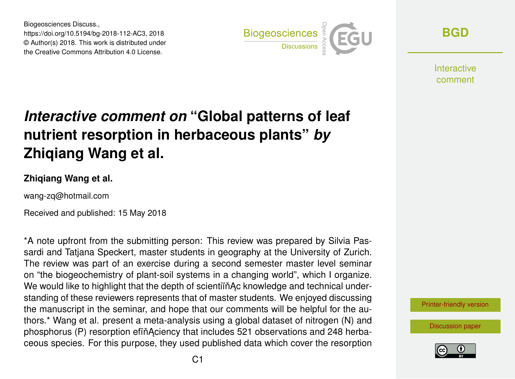Biogeosciences Discuss., https://doi.org/10.5194/bg-2018-112-AC3, 2018 © Author(s) 2018. This work is distributed under the Creative Commons Attribution 4.0 License.



**[BGD](https://www.biogeosciences-discuss.net/)**

**Interactive** comment

# *Interactive comment on* **"Global patterns of leaf nutrient resorption in herbaceous plants"** *by* **Zhiqiang Wang et al.**

### **Zhiqiang Wang et al.**

wang-zq@hotmail.com

Received and published: 15 May 2018

\*A note upfront from the submitting person: This review was prepared by Silvia Passardi and Tatjana Speckert, master students in geography at the University of Zurich. The review was part of an exercise during a second semester master level seminar on "the biogeochemistry of plant-soil systems in a changing world", which I organize. We would like to highlight that the depth of scientiïn Ac knowledge and technical understanding of these reviewers represents that of master students. We enjoyed discussing the manuscript in the seminar, and hope that our comments will be helpful for the authors.\* Wang et al. present a meta-analysis using a global dataset of nitrogen (N) and phosphorus (P) resorption efin Aciency that includes 521 observations and 248 herbaceous species. For this purpose, they used published data which cover the resorption



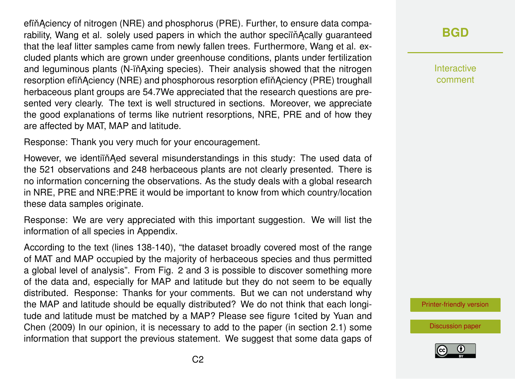efin Aciency of nitrogen (NRE) and phosphorus (PRE). Further, to ensure data comparability, Wang et al. solely used papers in which the author speciin Acally guaranteed that the leaf litter samples came from newly fallen trees. Furthermore, Wang et al. excluded plants which are grown under greenhouse conditions, plants under fertilization and leguminous plants (N-iňAxing species). Their analysis showed that the nitrogen resorption efiňĄciency (NRE) and phosphorous resorption efiňAciency (PRE) troughall herbaceous plant groups are 54.7We appreciated that the research questions are presented very clearly. The text is well structured in sections. Moreover, we appreciate the good explanations of terms like nutrient resorptions, NRE, PRE and of how they are affected by MAT, MAP and latitude.

Response: Thank you very much for your encouragement.

However, we identiïn Aed several misunderstandings in this study: The used data of the 521 observations and 248 herbaceous plants are not clearly presented. There is no information concerning the observations. As the study deals with a global research in NRE, PRE and NRE:PRE it would be important to know from which country/location these data samples originate.

Response: We are very appreciated with this important suggestion. We will list the information of all species in Appendix.

According to the text (lines 138-140), "the dataset broadly covered most of the range of MAT and MAP occupied by the majority of herbaceous species and thus permitted a global level of analysis". From Fig. 2 and 3 is possible to discover something more of the data and, especially for MAP and latitude but they do not seem to be equally distributed. Response: Thanks for your comments. But we can not understand why the MAP and latitude should be equally distributed? We do not think that each longitude and latitude must be matched by a MAP? Please see figure 1cited by Yuan and Chen (2009) In our opinion, it is necessary to add to the paper (in section 2.1) some information that support the previous statement. We suggest that some data gaps of

# **[BGD](https://www.biogeosciences-discuss.net/)**

Interactive comment

[Printer-friendly version](https://www.biogeosciences-discuss.net/bg-2018-112/bg-2018-112-AC3-print.pdf)

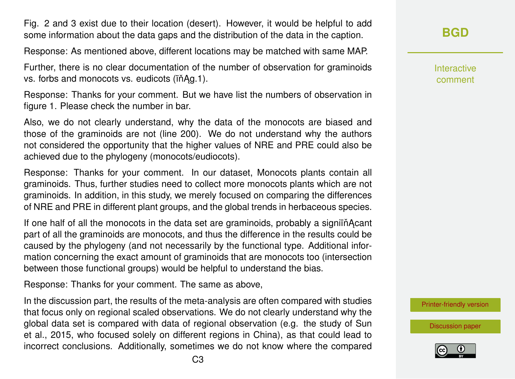Fig. 2 and 3 exist due to their location (desert). However, it would be helpful to add some information about the data gaps and the distribution of the data in the caption.

Response: As mentioned above, different locations may be matched with same MAP.

Further, there is no clear documentation of the number of observation for graminoids vs. forbs and monocots vs. eudicots ( $\hat{i}$ n $\hat{A}$ g.1).

Response: Thanks for your comment. But we have list the numbers of observation in figure 1. Please check the number in bar.

Also, we do not clearly understand, why the data of the monocots are biased and those of the graminoids are not (line 200). We do not understand why the authors not considered the opportunity that the higher values of NRE and PRE could also be achieved due to the phylogeny (monocots/eudiocots).

Response: Thanks for your comment. In our dataset, Monocots plants contain all graminoids. Thus, further studies need to collect more monocots plants which are not graminoids. In addition, in this study, we merely focused on comparing the differences of NRE and PRE in different plant groups, and the global trends in herbaceous species.

If one half of all the monocots in the data set are graminoids, probably a signifinacant part of all the graminoids are monocots, and thus the difference in the results could be caused by the phylogeny (and not necessarily by the functional type. Additional information concerning the exact amount of graminoids that are monocots too (intersection between those functional groups) would be helpful to understand the bias.

Response: Thanks for your comment. The same as above,

In the discussion part, the results of the meta-analysis are often compared with studies that focus only on regional scaled observations. We do not clearly understand why the global data set is compared with data of regional observation (e.g. the study of Sun et al., 2015, who focused solely on different regions in China), as that could lead to incorrect conclusions. Additionally, sometimes we do not know where the compared **[BGD](https://www.biogeosciences-discuss.net/)**

Interactive comment

[Printer-friendly version](https://www.biogeosciences-discuss.net/bg-2018-112/bg-2018-112-AC3-print.pdf)

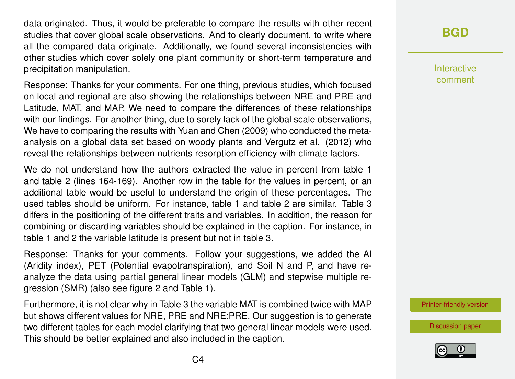data originated. Thus, it would be preferable to compare the results with other recent studies that cover global scale observations. And to clearly document, to write where all the compared data originate. Additionally, we found several inconsistencies with other studies which cover solely one plant community or short-term temperature and precipitation manipulation.

Response: Thanks for your comments. For one thing, previous studies, which focused on local and regional are also showing the relationships between NRE and PRE and Latitude, MAT, and MAP. We need to compare the differences of these relationships with our findings. For another thing, due to sorely lack of the global scale observations, We have to comparing the results with Yuan and Chen (2009) who conducted the metaanalysis on a global data set based on woody plants and Vergutz et al. (2012) who reveal the relationships between nutrients resorption efficiency with climate factors.

We do not understand how the authors extracted the value in percent from table 1 and table 2 (lines 164-169). Another row in the table for the values in percent, or an additional table would be useful to understand the origin of these percentages. The used tables should be uniform. For instance, table 1 and table 2 are similar. Table 3 differs in the positioning of the different traits and variables. In addition, the reason for combining or discarding variables should be explained in the caption. For instance, in table 1 and 2 the variable latitude is present but not in table 3.

Response: Thanks for your comments. Follow your suggestions, we added the AI (Aridity index), PET (Potential evapotranspiration), and Soil N and P, and have reanalyze the data using partial general linear models (GLM) and stepwise multiple regression (SMR) (also see figure 2 and Table 1).

Furthermore, it is not clear why in Table 3 the variable MAT is combined twice with MAP but shows different values for NRE, PRE and NRE:PRE. Our suggestion is to generate two different tables for each model clarifying that two general linear models were used. This should be better explained and also included in the caption.

## **[BGD](https://www.biogeosciences-discuss.net/)**

Interactive comment

[Printer-friendly version](https://www.biogeosciences-discuss.net/bg-2018-112/bg-2018-112-AC3-print.pdf)

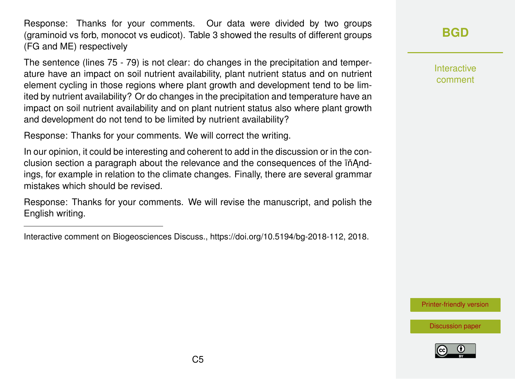Response: Thanks for your comments. Our data were divided by two groups (graminoid vs forb, monocot vs eudicot). Table 3 showed the results of different groups (FG and ME) respectively

The sentence (lines 75 - 79) is not clear: do changes in the precipitation and temperature have an impact on soil nutrient availability, plant nutrient status and on nutrient element cycling in those regions where plant growth and development tend to be limited by nutrient availability? Or do changes in the precipitation and temperature have an impact on soil nutrient availability and on plant nutrient status also where plant growth and development do not tend to be limited by nutrient availability?

Response: Thanks for your comments. We will correct the writing.

In our opinion, it could be interesting and coherent to add in the discussion or in the conclusion section a paragraph about the relevance and the consequences of the in<sup>And-</sup> ings, for example in relation to the climate changes. Finally, there are several grammar mistakes which should be revised.

Response: Thanks for your comments. We will revise the manuscript, and polish the English writing.

**[BGD](https://www.biogeosciences-discuss.net/)**

Interactive comment

[Printer-friendly version](https://www.biogeosciences-discuss.net/bg-2018-112/bg-2018-112-AC3-print.pdf)



Interactive comment on Biogeosciences Discuss., https://doi.org/10.5194/bg-2018-112, 2018.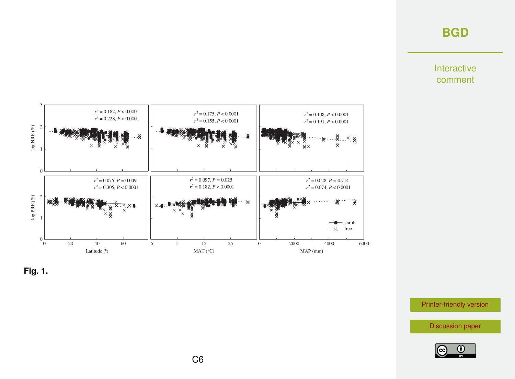## **[BGD](https://www.biogeosciences-discuss.net/)**

Interactive comment





[Printer-friendly version](https://www.biogeosciences-discuss.net/bg-2018-112/bg-2018-112-AC3-print.pdf)

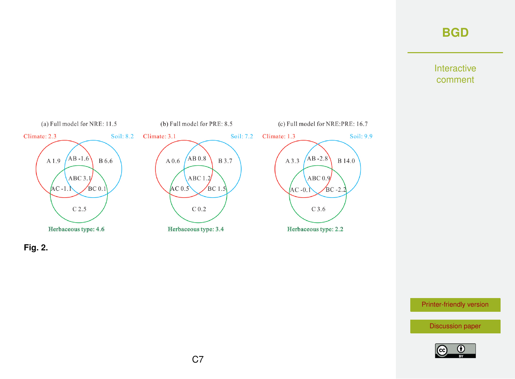## **[BGD](https://www.biogeosciences-discuss.net/)**

#### Interactive comment





[Printer-friendly version](https://www.biogeosciences-discuss.net/bg-2018-112/bg-2018-112-AC3-print.pdf)